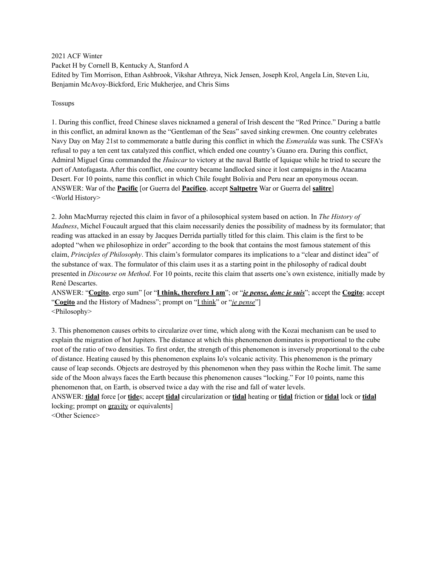2021 ACF Winter Packet H by Cornell B, Kentucky A, Stanford A Edited by Tim Morrison, Ethan Ashbrook, Vikshar Athreya, Nick Jensen, Joseph Krol, Angela Lin, Steven Liu, Benjamin McAvoy-Bickford, Eric Mukherjee, and Chris Sims

#### Tossups

1. During this conflict, freed Chinese slaves nicknamed a general of Irish descent the "Red Prince." During a battle in this conflict, an admiral known as the "Gentleman of the Seas" saved sinking crewmen. One country celebrates Navy Day on May 21st to commemorate a battle during this conflict in which the *Esmeralda* was sunk. The CSFA's refusal to pay a ten cent tax catalyzed this conflict, which ended one country's Guano era. During this conflict, Admiral Miguel Grau commanded the *Huáscar* to victory at the naval Battle of Iquique while he tried to secure the port of Antofagasta. After this conflict, one country became landlocked since it lost campaigns in the Atacama Desert. For 10 points, name this conflict in which Chile fought Bolivia and Peru near an eponymous ocean. ANSWER: War of the **Pacific** [or Guerra del **Pacífico**, accept **Saltpetre** War or Guerra del **salitre**] <World History>

2. John MacMurray rejected this claim in favor of a philosophical system based on action. In *The History of Madness*, Michel Foucault argued that this claim necessarily denies the possibility of madness by its formulator; that reading was attacked in an essay by Jacques Derrida partially titled for this claim. This claim is the first to be adopted "when we philosophize in order" according to the book that contains the most famous statement of this claim, *Principles of Philosophy*. This claim's formulator compares its implications to a "clear and distinct idea" of the substance of wax. The formulator of this claim uses it as a starting point in the philosophy of radical doubt presented in *Discourse on Method*. For 10 points, recite this claim that asserts one's own existence, initially made by René Descartes.

ANSWER: "**Cogito**, ergo sum" [or "**I think, therefore I am**"; or "*je pense, donc je suis*"; accept the **Cogito**; accept "**Cogito** and the History of Madness"; prompt on "I think" or "*je pense*"] <Philosophy>

3. This phenomenon causes orbits to circularize over time, which along with the Kozai mechanism can be used to explain the migration of hot Jupiters. The distance at which this phenomenon dominates is proportional to the cube root of the ratio of two densities. To first order, the strength of this phenomenon is inversely proportional to the cube of distance. Heating caused by this phenomenon explains Io's volcanic activity. This phenomenon is the primary cause of leap seconds. Objects are destroyed by this phenomenon when they pass within the Roche limit. The same side of the Moon always faces the Earth because this phenomenon causes "locking." For 10 points, name this phenomenon that, on Earth, is observed twice a day with the rise and fall of water levels.

ANSWER: **tidal** force [or **tide**s; accept **tidal** circularization or **tidal** heating or **tidal** friction or **tidal** lock or **tidal** locking; prompt on gravity or equivalents]

<Other Science>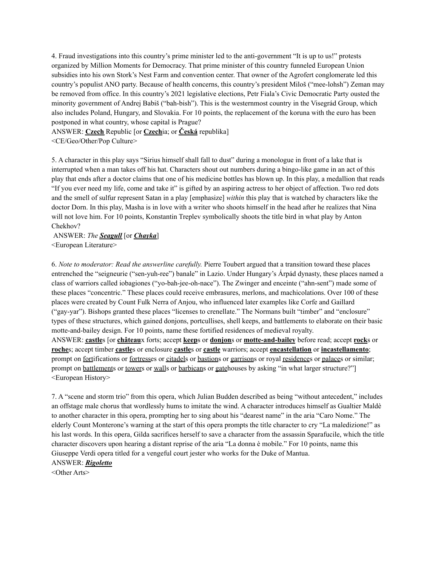4. Fraud investigations into this country's prime minister led to the anti-government "It is up to us!" protests organized by Million Moments for Democracy. That prime minister of this country funneled European Union subsidies into his own Stork's Nest Farm and convention center. That owner of the Agrofert conglomerate led this country's populist ANO party. Because of health concerns, this country's president Miloš ("mee-lohsh") Zeman may be removed from office. In this country's 2021 legislative elections, Petr Fiala's Civic Democratic Party ousted the minority government of Andrej Babiš ("bah-bish"). This is the westernmost country in the Visegrád Group, which also includes Poland, Hungary, and Slovakia. For 10 points, the replacement of the koruna with the euro has been postponed in what country, whose capital is Prague?

ANSWER: **Czech** Republic [or **Czech**ia; or **Česká** republika] <CE/Geo/Other/Pop Culture>

5. A character in this play says "Sirius himself shall fall to dust" during a monologue in front of a lake that is interrupted when a man takes off his hat. Characters shout out numbers during a bingo-like game in an act of this play that ends after a doctor claims that one of his medicine bottles has blown up. In this play, a medallion that reads "If you ever need my life, come and take it" is gifted by an aspiring actress to her object of affection. Two red dots and the smell of sulfur represent Satan in a play [emphasize] *within* this play that is watched by characters like the doctor Dorn. In this play, Masha is in love with a writer who shoots himself in the head after he realizes that Nina will not love him. For 10 points, Konstantin Treplev symbolically shoots the title bird in what play by Anton Chekhov?

ANSWER: *The Seagull* [or *Chayka*] <European Literature>

6. *Note to moderator: Read the answerline carefully.* Pierre Toubert argued that a transition toward these places entrenched the "seigneurie ("sen-yuh-ree") banale" in Lazio. Under Hungary's Árpád dynasty, these places named a class of warriors called iobagiones ("yo-bah-jee-oh-nace"). The Zwinger and enceinte ("ahn-sent") made some of these places "concentric." These places could receive embrasures, merlons, and machicolations. Over 100 of these places were created by Count Fulk Nerra of Anjou, who influenced later examples like Corfe and Gaillard ("gay-yar"). Bishops granted these places "licenses to crenellate." The Normans built "timber" and "enclosure" types of these structures, which gained donjons, portcullises, shell keeps, and battlements to elaborate on their basic motte-and-bailey design. For 10 points, name these fortified residences of medieval royalty. ANSWER: **castle**s [or **château**x forts; accept **keep**s or **donjon**s or **motte-and-bailey** before read; accept **rock**s or **roche**s; accept timber **castle**s or enclosure **castle**s or **castle** warriors; accept **encastellation** or **incastellamento**; prompt on fortifications or fortresses or citadels or bastions or garrisons or royal residences or palaces or similar; prompt on battlements or towers or walls or barbicans or gatehouses by asking "in what larger structure?"] <European History>

7. A "scene and storm trio" from this opera, which Julian Budden described as being "without antecedent," includes an offstage male chorus that wordlessly hums to imitate the wind. A character introduces himself as Gualtier Maldè to another character in this opera, prompting her to sing about his "dearest name" in the aria "Caro Nome." The elderly Count Monterone's warning at the start of this opera prompts the title character to cry "La maledizione!" as his last words. In this opera, Gilda sacrifices herself to save a character from the assassin Sparafucile, which the title character discovers upon hearing a distant reprise of the aria "La donna è mobile." For 10 points, name this Giuseppe Verdi opera titled for a vengeful court jester who works for the Duke of Mantua.

ANSWER: *Rigoletto*

<Other Arts>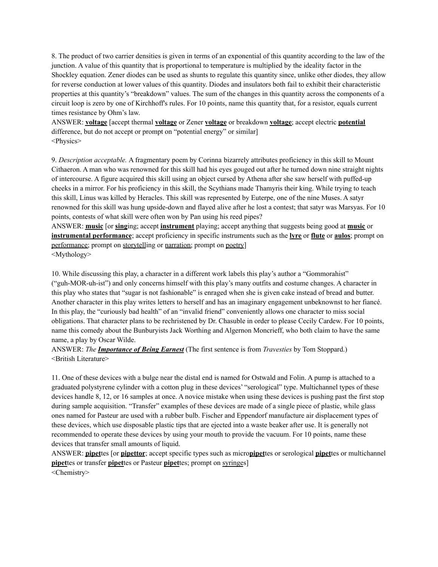8. The product of two carrier densities is given in terms of an exponential of this quantity according to the law of the junction. A value of this quantity that is proportional to temperature is multiplied by the ideality factor in the Shockley equation. Zener diodes can be used as shunts to regulate this quantity since, unlike other diodes, they allow for reverse conduction at lower values of this quantity. Diodes and insulators both fail to exhibit their characteristic properties at this quantity's "breakdown" values. The sum of the changes in this quantity across the components of a circuit loop is zero by one of Kirchhoff's rules. For 10 points, name this quantity that, for a resistor, equals current times resistance by Ohm's law.

ANSWER: **voltage** [accept thermal **voltage** or Zener **voltage** or breakdown **voltage**; accept electric **potential** difference, but do not accept or prompt on "potential energy" or similar] <Physics>

9. *Description acceptable.* A fragmentary poem by Corinna bizarrely attributes proficiency in this skill to Mount Cithaeron. A man who was renowned for this skill had his eyes gouged out after he turned down nine straight nights of intercourse. A figure acquired this skill using an object cursed by Athena after she saw herself with puffed-up cheeks in a mirror. For his proficiency in this skill, the Scythians made Thamyris their king. While trying to teach this skill, Linus was killed by Heracles. This skill was represented by Euterpe, one of the nine Muses. A satyr renowned for this skill was hung upside-down and flayed alive after he lost a contest; that satyr was Marsyas. For 10 points, contests of what skill were often won by Pan using his reed pipes?

ANSWER: **music** [or **sing**ing; accept **instrument** playing; accept anything that suggests being good at **music** or **instrumental performance**; accept proficiency in specific instruments such as the **lyre** or **flute** or **aulos**; prompt on performance; prompt on storytelling or narration; prompt on poetry] <Mythology>

10. While discussing this play, a character in a different work labels this play's author a "Gommorahist" ("guh-MOR-uh-ist") and only concerns himself with this play's many outfits and costume changes. A character in this play who states that "sugar is not fashionable" is enraged when she is given cake instead of bread and butter. Another character in this play writes letters to herself and has an imaginary engagement unbeknownst to her fiancé. In this play, the "curiously bad health" of an "invalid friend" conveniently allows one character to miss social obligations. That character plans to be rechristened by Dr. Chasuble in order to please Cecily Cardew. For 10 points, name this comedy about the Bunburyists Jack Worthing and Algernon Moncrieff, who both claim to have the same name, a play by Oscar Wilde.

ANSWER: *The Importance of Being Earnest* (The first sentence is from *Travesties* by Tom Stoppard.) <British Literature>

11. One of these devices with a bulge near the distal end is named for Ostwald and Folin. A pump is attached to a graduated polystyrene cylinder with a cotton plug in these devices' "serological" type. Multichannel types of these devices handle 8, 12, or 16 samples at once. A novice mistake when using these devices is pushing past the first stop during sample acquisition. "Transfer" examples of these devices are made of a single piece of plastic, while glass ones named for Pasteur are used with a rubber bulb. Fischer and Eppendorf manufacture air displacement types of these devices, which use disposable plastic tips that are ejected into a waste beaker after use. It is generally not recommended to operate these devices by using your mouth to provide the vacuum. For 10 points, name these devices that transfer small amounts of liquid.

ANSWER: **pipet**tes [or **pipettor**; accept specific types such as micro**pipet**tes or serological **pipet**tes or multichannel **pipet**tes or transfer **pipet**tes or Pasteur **pipet**tes; prompt on syringes] <Chemistry>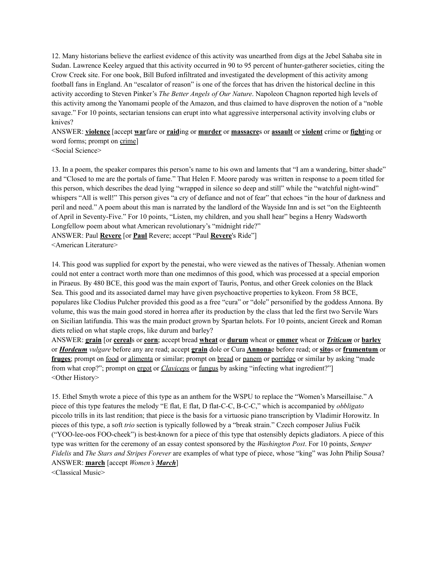12. Many historians believe the earliest evidence of this activity was unearthed from digs at the Jebel Sahaba site in Sudan. Lawrence Keeley argued that this activity occurred in 90 to 95 percent of hunter-gatherer societies, citing the Crow Creek site. For one book, Bill Buford infiltrated and investigated the development of this activity among football fans in England. An "escalator of reason" is one of the forces that has driven the historical decline in this activity according to Steven Pinker's *The Better Angels of Our Nature*. Napoleon Chagnon reported high levels of this activity among the Yanomami people of the Amazon, and thus claimed to have disproven the notion of a "noble savage." For 10 points, sectarian tensions can erupt into what aggressive interpersonal activity involving clubs or knives?

ANSWER: **violence** [accept **war**fare or **raid**ing or **murder** or **massacre**s or **assault** or **violent** crime or **fight**ing or word forms; prompt on crime]

<Social Science>

13. In a poem, the speaker compares this person's name to his own and laments that "I am a wandering, bitter shade" and "Closed to me are the portals of fame." That Helen F. Moore parody was written in response to a poem titled for this person, which describes the dead lying "wrapped in silence so deep and still" while the "watchful night-wind" whispers "All is well!" This person gives "a cry of defiance and not of fear" that echoes "in the hour of darkness and peril and need." A poem about this man is narrated by the landlord of the Wayside Inn and is set "on the Eighteenth of April in Seventy-Five." For 10 points, "Listen, my children, and you shall hear" begins a Henry Wadsworth Longfellow poem about what American revolutionary's "midnight ride?" ANSWER: Paul **Revere** [or **Paul** Revere; accept "Paul **Revere**'s Ride"] <American Literature>

14. This good was supplied for export by the penestai, who were viewed as the natives of Thessaly. Athenian women could not enter a contract worth more than one medimnos of this good, which was processed at a special emporion in Piraeus. By 480 BCE, this good was the main export of Tauris, Pontus, and other Greek colonies on the Black Sea. This good and its associated darnel may have given psychoactive properties to kykeon. From 58 BCE, populares like Clodius Pulcher provided this good as a free "cura" or "dole" personified by the goddess Annona. By volume, this was the main good stored in horrea after its production by the class that led the first two Servile Wars on Sicilian latifundia. This was the main product grown by Spartan helots. For 10 points, ancient Greek and Roman diets relied on what staple crops, like durum and barley?

ANSWER: **grain** [or **cereal**s or **corn**; accept bread **wheat** or **durum** wheat or **emmer** wheat or *Triticum* or **barley** or *Hordeum vulgare* before any are read; accept **grain** dole or Cura **Annona**e before read; or **sito**s or **frumentum** or **fruges**; prompt on <u>food</u> or alimenta or similar; prompt on <u>bread</u> or panem or porridge or similar by asking "made from what crop?"; prompt on ergot or *Claviceps* or fungus by asking "infecting what ingredient?"] <Other History>

15. Ethel Smyth wrote a piece of this type as an anthem for the WSPU to replace the "Women's Marseillaise." A piece of this type features the melody "E flat, E flat, D flat-C-C, B-C-C," which is accompanied by *obbligato* piccolo trills in its last rendition; that piece is the basis for a virtuosic piano transcription by Vladimir Horowitz. In pieces of this type, a soft *trio* section is typically followed by a "break strain." Czech composer Julius Fučík ("YOO-lee-oos FOO-cheek") is best-known for a piece of this type that ostensibly depicts gladiators. A piece of this type was written for the ceremony of an essay contest sponsored by the *Washington Post*. For 10 points, *Semper Fidelis* and *The Stars and Stripes Forever* are examples of what type of piece, whose "king" was John Philip Sousa? ANSWER: **march** [accept *Women's March*]

<Classical Music>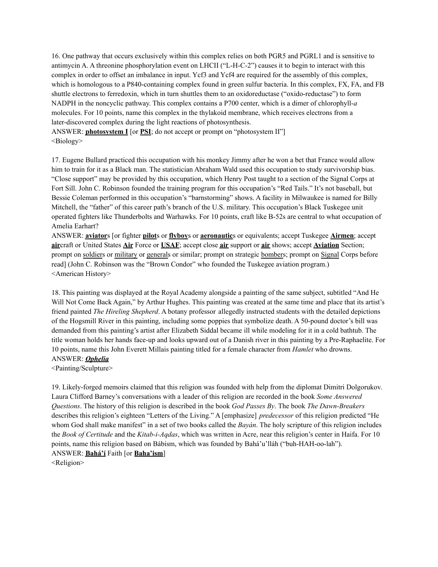16. One pathway that occurs exclusively within this complex relies on both PGR5 and PGRL1 and is sensitive to antimycin A. A threonine phosphorylation event on LHCII ("L-H-C-2") causes it to begin to interact with this complex in order to offset an imbalance in input. Ycf3 and Ycf4 are required for the assembly of this complex, which is homologous to a P840-containing complex found in green sulfur bacteria. In this complex, FX, FA, and FB shuttle electrons to ferredoxin, which in turn shuttles them to an oxidoreductase ("oxido-reductase") to form NADPH in the noncyclic pathway. This complex contains a P700 center, which is a dimer of chlorophyll-*a* molecules. For 10 points, name this complex in the thylakoid membrane, which receives electrons from a later-discovered complex during the light reactions of photosynthesis.

ANSWER: **photosystem I** [or **PSI**; do not accept or prompt on "photosystem II"] <Biology>

17. Eugene Bullard practiced this occupation with his monkey Jimmy after he won a bet that France would allow him to train for it as a Black man. The statistician Abraham Wald used this occupation to study survivorship bias. "Close support" may be provided by this occupation, which Henry Post taught to a section of the Signal Corps at Fort Sill. John C. Robinson founded the training program for this occupation's "Red Tails." It's not baseball, but Bessie Coleman performed in this occupation's "barnstorming" shows. A facility in Milwaukee is named for Billy Mitchell, the "father" of this career path's branch of the U.S. military. This occupation's Black Tuskegee unit operated fighters like Thunderbolts and Warhawks. For 10 points, craft like B-52s are central to what occupation of Amelia Earhart?

ANSWER: **aviator**s [or fighter **pilot**s or **flyboy**s or **aeronautic**s or equivalents; accept Tuskegee **Airmen**; accept **air**craft or United States **Air** Force or **USAF**; accept close **air** support or **air** shows; accept **Aviation** Section; prompt on soldiers or military or generals or similar; prompt on strategic bombers; prompt on Signal Corps before read] (John C. Robinson was the "Brown Condor" who founded the Tuskegee aviation program.) <American History>

18. This painting was displayed at the Royal Academy alongside a painting of the same subject, subtitled "And He Will Not Come Back Again," by Arthur Hughes. This painting was created at the same time and place that its artist's friend painted *The Hireling Shepherd*. A botany professor allegedly instructed students with the detailed depictions of the Hogsmill River in this painting, including some poppies that symbolize death. A 50-pound doctor's bill was demanded from this painting's artist after Elizabeth Siddal became ill while modeling for it in a cold bathtub. The title woman holds her hands face-up and looks upward out of a Danish river in this painting by a Pre-Raphaelite. For 10 points, name this John Everett Millais painting titled for a female character from *Hamlet* who drowns.

### ANSWER: *Ophelia*

<Painting/Sculpture>

19. Likely-forged memoirs claimed that this religion was founded with help from the diplomat Dimitri Dolgorukov. Laura Clifford Barney's conversations with a leader of this religion are recorded in the book *Some Answered Questions*. The history of this religion is described in the book *God Passes By*. The book *The Dawn-Breakers* describes this religion's eighteen "Letters of the Living." A [emphasize] *predecessor* of this religion predicted "He whom God shall make manifest" in a set of two books called the *Bayán*. The holy scripture of this religion includes the *Book of Certitude* and the *Kitab-i-Aqdas*, which was written in Acre, near this religion's center in Haifa. For 10 points, name this religion based on Bábism, which was founded by Bahá'u'lláh ("buh-HAH-oo-lah"). ANSWER: **Bahá'í** Faith [or **Baha'ism**] <Religion>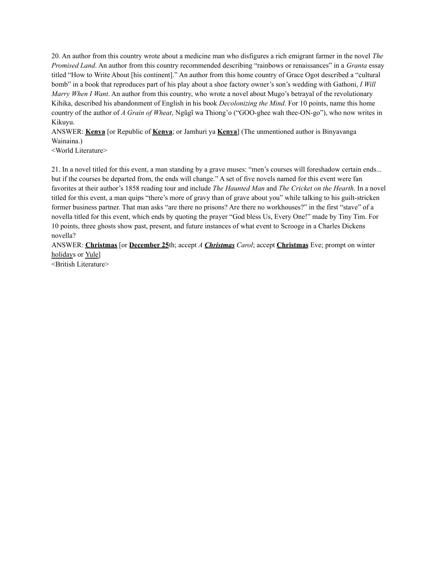20. An author from this country wrote about a medicine man who disfigures a rich emigrant farmer in the novel *The Promised Land*. An author from this country recommended describing "rainbows or renaissances" in a *Granta* essay titled "How to Write About [his continent]." An author from this home country of Grace Ogot described a "cultural bomb" in a book that reproduces part of his play about a shoe factory owner's son's wedding with Gathoni, *I Will Marry When I Want*. An author from this country, who wrote a novel about Mugo's betrayal of the revolutionary Kihika, described his abandonment of English in his book *Decolonizing the Mind*. For 10 points, name this home country of the author of *A Grain of Wheat*, Ngũgĩ wa Thiong'o ("GOO-ghee wah thee-ON-go"), who now writes in Kikuyu.

ANSWER: **Kenya** [or Republic of **Kenya**; or Jamhuri ya **Kenya**] (The unmentioned author is Binyavanga Wainaina.)

<World Literature>

21. In a novel titled for this event, a man standing by a grave muses: "men's courses will foreshadow certain ends... but if the courses be departed from, the ends will change." A set of five novels named for this event were fan favorites at their author's 1858 reading tour and include *The Haunted Man* and *The Cricket on the Hearth*. In a novel titled for this event, a man quips "there's more of gravy than of grave about you" while talking to his guilt-stricken former business partner. That man asks "are there no prisons? Are there no workhouses?" in the first "stave" of a novella titled for this event, which ends by quoting the prayer "God bless Us, Every One!" made by Tiny Tim. For 10 points, three ghosts show past, present, and future instances of what event to Scrooge in a Charles Dickens novella?

ANSWER: **Christmas** [or **December 25**th; accept *A Christmas Carol*; accept **Christmas** Eve; prompt on winter holidays or Yule]

<British Literature>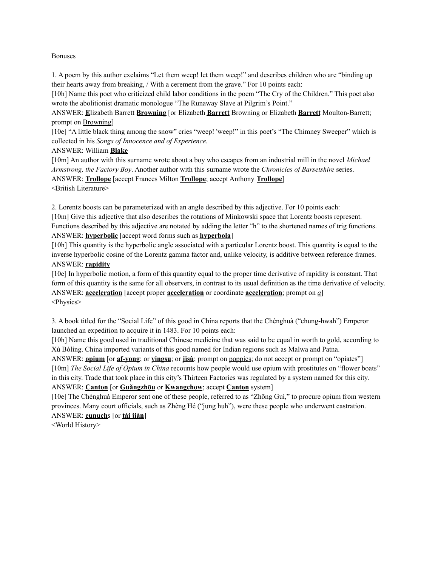#### Bonuses

1. A poem by this author exclaims "Let them weep! let them weep!" and describes children who are "binding up their hearts away from breaking, / With a cerement from the grave." For 10 points each:

[10h] Name this poet who criticized child labor conditions in the poem "The Cry of the Children." This poet also wrote the abolitionist dramatic monologue "The Runaway Slave at Pilgrim's Point."

ANSWER: **E**lizabeth Barrett **Browning** [or Elizabeth **Barrett** Browning or Elizabeth **Barrett** Moulton-Barrett; prompt on Browning]

[10e] "A little black thing among the snow" cries "weep! 'weep!" in this poet's "The Chimney Sweeper" which is collected in his *Songs of Innocence and of Experience*.

ANSWER: William **Blake**

[10m] An author with this surname wrote about a boy who escapes from an industrial mill in the novel *Michael Armstrong, the Factory Boy*. Another author with this surname wrote the *Chronicles of Barsetshire* series. ANSWER: **Trollope** [accept Frances Milton **Trollope**; accept Anthony **Trollope**] <British Literature>

2. Lorentz boosts can be parameterized with an angle described by this adjective. For 10 points each: [10m] Give this adjective that also describes the rotations of Minkowski space that Lorentz boosts represent. Functions described by this adjective are notated by adding the letter "h" to the shortened names of trig functions. ANSWER: **hyperbolic** [accept word forms such as **hyperbola**]

[10h] This quantity is the hyperbolic angle associated with a particular Lorentz boost. This quantity is equal to the inverse hyperbolic cosine of the Lorentz gamma factor and, unlike velocity, is additive between reference frames. ANSWER: **rapidity**

[10e] In hyperbolic motion, a form of this quantity equal to the proper time derivative of rapidity is constant. That form of this quantity is the same for all observers, in contrast to its usual definition as the time derivative of velocity. ANSWER: **acceleration** [accept proper **acceleration** or coordinate **acceleration**; prompt on *a*] <Physics>

3. A book titled for the "Social Life" of this good in China reports that the Chénghuà ("chung-hwah") Emperor launched an expedition to acquire it in 1483. For 10 points each:

[10h] Name this good used in traditional Chinese medicine that was said to be equal in worth to gold, according to Xú Bólíng. China imported variants of this good named for Indian regions such as Malwa and Patna.

ANSWER: **opium** [or **af-yong**; or **yingsu**; or **jīsù**; prompt on poppies; do not accept or prompt on "opiates"] [10m] *The Social Life of Opium in China* recounts how people would use opium with prostitutes on "flower boats" in this city. Trade that took place in this city's Thirteen Factories was regulated by a system named for this city. ANSWER: **Canton** [or **Guǎngzhōu** or **Kwangchow**; accept **Canton** system]

[10e] The Chénghuà Emperor sent one of these people, referred to as "Zhōng Guì," to procure opium from western provinces. Many court officials, such as Zhèng Hé ("jung huh"), were these people who underwent castration. ANSWER: **eunuch**s [or **tài jiàn**]

<World History>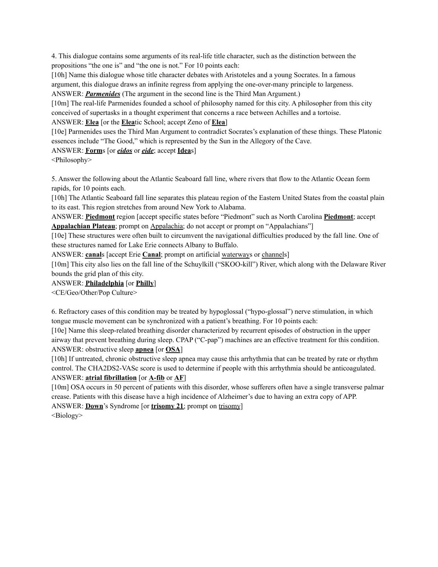4. This dialogue contains some arguments of its real-life title character, such as the distinction between the propositions "the one is" and "the one is not." For 10 points each:

[10h] Name this dialogue whose title character debates with Aristoteles and a young Socrates. In a famous argument, this dialogue draws an infinite regress from applying the one-over-many principle to largeness. ANSWER: *Parmenides* (The argument in the second line is the Third Man Argument.)

[10m] The real-life Parmenides founded a school of philosophy named for this city. A philosopher from this city

conceived of supertasks in a thought experiment that concerns a race between Achilles and a tortoise.

ANSWER: **Elea** [or the **Elea**tic School; accept Zeno of **Elea**]

[10e] Parmenides uses the Third Man Argument to contradict Socrates's explanation of these things. These Platonic essences include "The Good," which is represented by the Sun in the Allegory of the Cave.

# ANSWER: **Form**s [or *eidos* or *eide*; accept **Idea**s]

<Philosophy>

5. Answer the following about the Atlantic Seaboard fall line, where rivers that flow to the Atlantic Ocean form rapids, for 10 points each.

[10h] The Atlantic Seaboard fall line separates this plateau region of the Eastern United States from the coastal plain to its east. This region stretches from around New York to Alabama.

ANSWER: **Piedmont** region [accept specific states before "Piedmont" such as North Carolina **Piedmont**; accept **Appalachian Plateau**; prompt on Appalachia; do not accept or prompt on "Appalachians"]

[10e] These structures were often built to circumvent the navigational difficulties produced by the fall line. One of these structures named for Lake Erie connects Albany to Buffalo.

ANSWER: **canal**s [accept Erie **Canal**; prompt on artificial waterways or channels]

[10m] This city also lies on the fall line of the Schuylkill ("SKOO-kill") River, which along with the Delaware River bounds the grid plan of this city.

## ANSWER: **Philadelphia** [or **Philly**]

<CE/Geo/Other/Pop Culture>

6. Refractory cases of this condition may be treated by hypoglossal ("hypo-glossal") nerve stimulation, in which tongue muscle movement can be synchronized with a patient's breathing. For 10 points each:

[10e] Name this sleep-related breathing disorder characterized by recurrent episodes of obstruction in the upper airway that prevent breathing during sleep. CPAP ("C-pap") machines are an effective treatment for this condition. ANSWER: obstructive sleep **apnea** [or **OSA**]

[10h] If untreated, chronic obstructive sleep apnea may cause this arrhythmia that can be treated by rate or rhythm control. The CHA2DS2-VASc score is used to determine if people with this arrhythmia should be anticoagulated.

# ANSWER: **atrial fibrillation** [or **A-fib** or **AF**]

[10m] OSA occurs in 50 percent of patients with this disorder, whose sufferers often have a single transverse palmar crease. Patients with this disease have a high incidence of Alzheimer's due to having an extra copy of APP.

ANSWER: **Down**'s Syndrome [or **trisomy 21**; prompt on trisomy]

<Biology>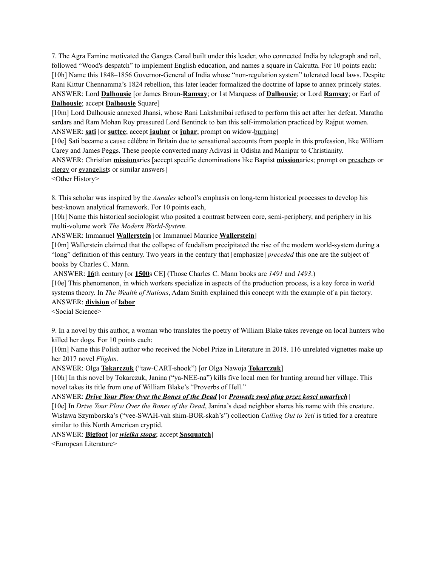7. The Agra Famine motivated the Ganges Canal built under this leader, who connected India by telegraph and rail, followed "Wood's despatch" to implement English education, and names a square in Calcutta. For 10 points each: [10h] Name this 1848–1856 Governor-General of India whose "non-regulation system" tolerated local laws. Despite Rani Kittur Chennamma's 1824 rebellion, this later leader formalized the doctrine of lapse to annex princely states. ANSWER: Lord **Dalhousie** [or James Broun-**Ramsay**; or 1st Marquess of **Dalhousie**; or Lord **Ramsay**; or Earl of

## **Dalhousie**; accept **Dalhousie** Square]

[10m] Lord Dalhousie annexed Jhansi, whose Rani Lakshmibai refused to perform this act after her defeat. Maratha sardars and Ram Mohan Roy pressured Lord Bentinck to ban this self-immolation practiced by Rajput women. ANSWER: **sati** [or **suttee**; accept **jauhar** or **juhar**; prompt on widow-burning]

[10e] Sati became a cause célèbre in Britain due to sensational accounts from people in this profession, like William Carey and James Peggs. These people converted many Adivasi in Odisha and Manipur to Christianity.

ANSWER: Christian **mission**aries [accept specific denominations like Baptist **mission**aries; prompt on preachers or clergy or evangelists or similar answers]

<Other History>

8. This scholar was inspired by the *Annales* school's emphasis on long-term historical processes to develop his best-known analytical framework. For 10 points each,

[10h] Name this historical sociologist who posited a contrast between core, semi-periphery, and periphery in his multi-volume work *The Modern World-System*.

ANSWER: Immanuel **Wallerstein** [or Immanuel Maurice **Wallerstein**]

[10m] Wallerstein claimed that the collapse of feudalism precipitated the rise of the modern world-system during a "long" definition of this century. Two years in the century that [emphasize] *preceded* this one are the subject of books by Charles C. Mann.

ANSWER: **16**th century [or **1500**s CE] (Those Charles C. Mann books are *1491* and *1493*.)

[10e] This phenomenon, in which workers specialize in aspects of the production process, is a key force in world systems theory. In *The Wealth of Nations*, Adam Smith explained this concept with the example of a pin factory. ANSWER: **division** of **labor**

<Social Science>

9. In a novel by this author, a woman who translates the poetry of William Blake takes revenge on local hunters who killed her dogs. For 10 points each:

[10m] Name this Polish author who received the Nobel Prize in Literature in 2018. 116 unrelated vignettes make up her 2017 novel *Flights*.

ANSWER: Olga **Tokarczuk** ("taw-CART-shook") [or Olga Nawoja **Tokarczuk**]

[10h] In this novel by Tokarczuk, Janina ("ya-NEE-na") kills five local men for hunting around her village. This novel takes its title from one of William Blake's "Proverbs of Hell."

## ANSWER: *Drive Your Plow Over the Bones of the Dead* [or *Prowadz swoj plug przez kosci umarlych*]

[10e] In *Drive Your Plow Over the Bones of the Dead*, Janina's dead neighbor shares his name with this creature. Wisława Szymborska's ("vee-SWAH-vah shim-BOR-skah's") collection *Calling Out to Yeti* is titled for a creature similar to this North American cryptid.

ANSWER: **Bigfoot** [or *wielka stopa*; accept **Sasquatch**] <European Literature>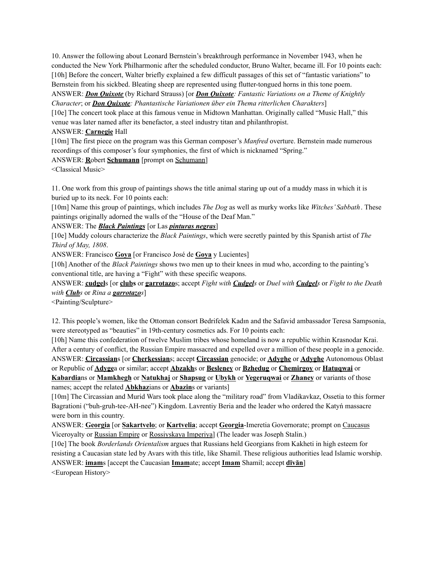10. Answer the following about Leonard Bernstein's breakthrough performance in November 1943, when he conducted the New York Philharmonic after the scheduled conductor, Bruno Walter, became ill. For 10 points each: [10h] Before the concert, Walter briefly explained a few difficult passages of this set of "fantastic variations" to Bernstein from his sickbed. Bleating sheep are represented using flutter-tongued horns in this tone poem.

ANSWER: *Don Quixote* (by Richard Strauss) [or *Don Quixote: Fantastic Variations on a Theme of Knightly Character*; or *Don Quixote: Phantastische Variationen über ein Thema ritterlichen Charakters*]

[10e] The concert took place at this famous venue in Midtown Manhattan. Originally called "Music Hall," this venue was later named after its benefactor, a steel industry titan and philanthropist.

### ANSWER: **Carnegie** Hall

[10m] The first piece on the program was this German composer's *Manfred* overture. Bernstein made numerous recordings of this composer's four symphonies, the first of which is nicknamed "Spring."

### ANSWER: **R**obert **Schumann** [prompt on Schumann]

<Classical Music>

11. One work from this group of paintings shows the title animal staring up out of a muddy mass in which it is buried up to its neck. For 10 points each:

[10m] Name this group of paintings, which includes *The Dog* as well as murky works like *Witches' Sabbath*. These paintings originally adorned the walls of the "House of the Deaf Man."

ANSWER: The *Black Paintings* [or Las *pinturas negras*]

[10e] Muddy colours characterize the *Black Paintings*, which were secretly painted by this Spanish artist of *The Third of May, 1808*.

ANSWER: Francisco **Goya** [or Francisco José de **Goya** y Lucientes]

[10h] Another of the *Black Paintings* shows two men up to their knees in mud who, according to the painting's conventional title, are having a "Fight" with these specific weapons.

ANSWER: **cudgel**s [or **clubs** or **garrotazo**s; accept *Fight with Cudgels* or *Duel with Cudgels* or *Fight to the Death with Clubs* or *Rina a garrotazos*]

<Painting/Sculpture>

12. This people's women, like the Ottoman consort Bedrifelek Kadın and the Safavid ambassador Teresa Sampsonia, were stereotyped as "beauties" in 19th-century cosmetics ads. For 10 points each:

[10h] Name this confederation of twelve Muslim tribes whose homeland is now a republic within Krasnodar Krai. After a century of conflict, the Russian Empire massacred and expelled over a million of these people in a genocide. ANSWER: **Circassian**s [or **Cherkessian**s; accept **Circassian** genocide; or **Adyghe** or **Adyghe** Autonomous Oblast or Republic of **Adyge**a or similar; accept **Abzakh**s or **Besleney** or **Bzhedug** or **Chemirgoy** or **Hatuqwai** or **Kabardia**ns or **Mamkhegh** or **Natukhaj** or **Shapsug** or **Ubykh** or **Yegeruqwai** or **Zhaney** or variants of those names; accept the related **Abkhaz**ians or **Abazin**s or variants]

[10m] The Circassian and Murid Wars took place along the "military road" from Vladikavkaz, Ossetia to this former Bagrationi ("buh-gruh-tee-AH-nee") Kingdom. Lavrentiy Beria and the leader who ordered the Katyń massacre were born in this country.

ANSWER: **Georgia** [or **Sakartvelo**; or **Kartvelia**; accept **Georgia**-Imeretia Governorate; prompt on Caucasus Viceroyalty or Russian Empire or Rossiyskaya Imperiya] (The leader was Joseph Stalin.)

[10e] The book *Borderlands Orientalism* argues that Russians held Georgians from Kakheti in high esteem for resisting a Caucasian state led by Avars with this title, like Shamil. These religious authorities lead Islamic worship. ANSWER: **imam**s [accept the Caucasian **Imam**ate; accept **Imam** Shamil; accept **dīvān**] <European History>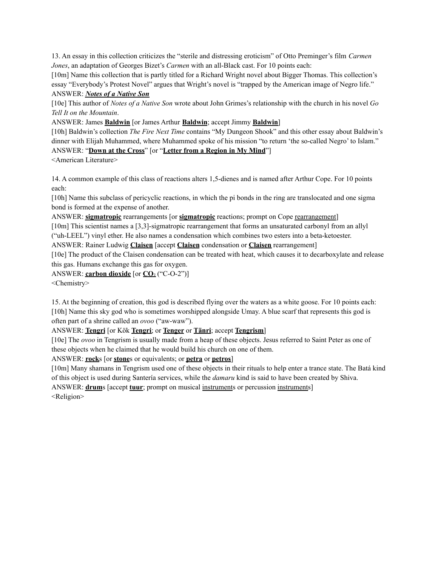13. An essay in this collection criticizes the "sterile and distressing eroticism" of Otto Preminger's film *Carmen Jones*, an adaptation of Georges Bizet's *Carmen* with an all-Black cast. For 10 points each:

[10m] Name this collection that is partly titled for a Richard Wright novel about Bigger Thomas. This collection's essay "Everybody's Protest Novel" argues that Wright's novel is "trapped by the American image of Negro life." ANSWER: *Notes of a Native Son*

[10e] This author of *Notes of a Native Son* wrote about John Grimes's relationship with the church in his novel *Go Tell It on the Mountain*.

ANSWER: James **Baldwin** [or James Arthur **Baldwin**; accept Jimmy **Baldwin**]

[10h] Baldwin's collection *The Fire Next Time* contains "My Dungeon Shook" and this other essay about Baldwin's dinner with Elijah Muhammed, where Muhammed spoke of his mission "to return 'the so-called Negro' to Islam." ANSWER: "**Down at the Cross**" [or "**Letter from a Region in My Mind**"]

<American Literature>

14. A common example of this class of reactions alters 1,5-dienes and is named after Arthur Cope. For 10 points each:

[10h] Name this subclass of pericyclic reactions, in which the pi bonds in the ring are translocated and one sigma bond is formed at the expense of another.

ANSWER: **sigmatropic** rearrangements [or **sigmatropic** reactions; prompt on Cope rearrangement]

[10m] This scientist names a [3,3]-sigmatropic rearrangement that forms an unsaturated carbonyl from an allyl ("uh-LEEL") vinyl ether. He also names a condensation which combines two esters into a beta-ketoester.

ANSWER: Rainer Ludwig **Claisen** [accept **Claisen** condensation or **Claisen** rearrangement]

[10e] The product of the Claisen condensation can be treated with heat, which causes it to decarboxylate and release this gas. Humans exchange this gas for oxygen.

ANSWER: **carbon dioxide** [or **CO**₂ ("C-O-2")]

<Chemistry>

15. At the beginning of creation, this god is described flying over the waters as a white goose. For 10 points each: [10h] Name this sky god who is sometimes worshipped alongside Umay. A blue scarf that represents this god is often part of a shrine called an *ovoo* ("aw-waw").

ANSWER: **Tengri** [or Kök **Tengri**; or **Tenger** or **Tänri**; accept **Tengrism**]

[10e] The *ovoo* in Tengrism is usually made from a heap of these objects. Jesus referred to Saint Peter as one of these objects when he claimed that he would build his church on one of them.

ANSWER: **rock**s [or **stone**s or equivalents; or **petra** or **petros**]

[10m] Many shamans in Tengrism used one of these objects in their rituals to help enter a trance state. The Batá kind of this object is used during Santería services, while the *damaru* kind is said to have been created by Shiva.

ANSWER: **drum**s [accept **tuur**; prompt on musical instruments or percussion instruments] <Religion>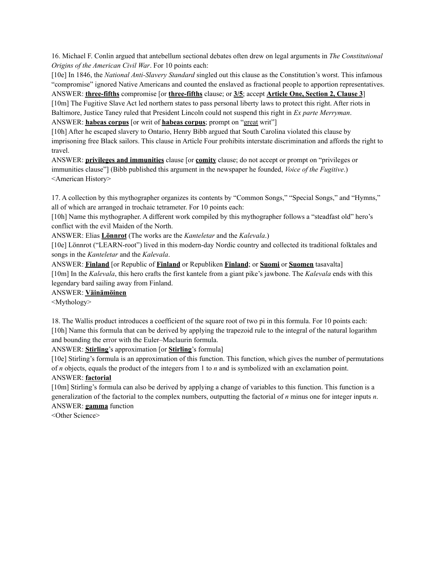16. Michael F. Conlin argued that antebellum sectional debates often drew on legal arguments in *The Constitutional Origins of the American Civil War*. For 10 points each:

[10e] In 1846, the *National Anti-Slavery Standard* singled out this clause as the Constitution's worst. This infamous "compromise" ignored Native Americans and counted the enslaved as fractional people to apportion representatives.

ANSWER: **three-fifths** compromise [or **three-fifths** clause; or **3/5**; accept **Article One, Section 2, Clause 3**] [10m] The Fugitive Slave Act led northern states to pass personal liberty laws to protect this right. After riots in Baltimore, Justice Taney ruled that President Lincoln could not suspend this right in *Ex parte Merryman*. ANSWER: **habeas corpus** [or writ of **habeas corpus**; prompt on "great writ"]

[10h] After he escaped slavery to Ontario, Henry Bibb argued that South Carolina violated this clause by imprisoning free Black sailors. This clause in Article Four prohibits interstate discrimination and affords the right to travel.

ANSWER: **privileges and immunities** clause [or **comity** clause; do not accept or prompt on "privileges or immunities clause"] (Bibb published this argument in the newspaper he founded, *Voice of the Fugitive*.) <American History>

17. A collection by this mythographer organizes its contents by "Common Songs," "Special Songs," and "Hymns," all of which are arranged in trochaic tetrameter. For 10 points each:

[10h] Name this mythographer. A different work compiled by this mythographer follows a "steadfast old" hero's conflict with the evil Maiden of the North.

ANSWER: Elias **Lönnrot** (The works are the *Kanteletar* and the *Kalevala*.)

[10e] Lönnrot ("LEARN-root") lived in this modern-day Nordic country and collected its traditional folktales and songs in the *Kanteletar* and the *Kalevala*.

ANSWER: **Finland** [or Republic of **Finland** or Republiken **Finland**; or **Suomi** or **Suomen** tasavalta] [10m] In the *Kalevala*, this hero crafts the first kantele from a giant pike's jawbone. The *Kalevala* ends with this legendary bard sailing away from Finland.

ANSWER: **Väinämöinen**

<Mythology>

18. The Wallis product introduces a coefficient of the square root of two pi in this formula. For 10 points each: [10h] Name this formula that can be derived by applying the trapezoid rule to the integral of the natural logarithm and bounding the error with the Euler–Maclaurin formula.

ANSWER: **Stirling**'s approximation [or **Stirling**'s formula]

[10e] Stirling's formula is an approximation of this function. This function, which gives the number of permutations of *n* objects, equals the product of the integers from 1 to *n* and is symbolized with an exclamation point.

## ANSWER: **factorial**

[10m] Stirling's formula can also be derived by applying a change of variables to this function. This function is a generalization of the factorial to the complex numbers, outputting the factorial of *n* minus one for integer inputs *n*. ANSWER: **gamma** function

<Other Science>